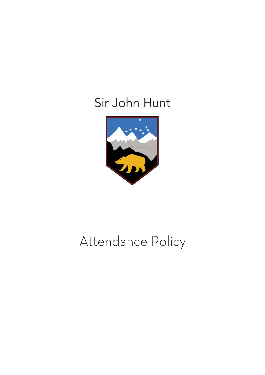# Sir John Hunt



# Attendance Policy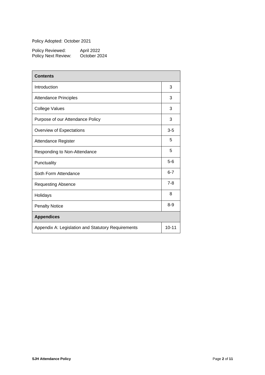Policy Adopted: October 2021

| Policy Reviewed:    | April 2022   |
|---------------------|--------------|
| Policy Next Review: | October 2024 |

| <b>Contents</b>                                    |         |
|----------------------------------------------------|---------|
| Introduction                                       | 3       |
| <b>Attendance Principles</b>                       | 3       |
| <b>College Values</b>                              | 3       |
| Purpose of our Attendance Policy                   | 3       |
| Overview of Expectations                           | $3-5$   |
| Attendance Register                                | 5       |
| Responding to Non-Attendance                       | 5       |
| Punctuality                                        | $5-6$   |
| Sixth Form Attendance                              | $6 - 7$ |
| <b>Requesting Absence</b>                          | $7 - 8$ |
| Holidays                                           | 8       |
| <b>Penalty Notice</b>                              | $8 - 9$ |
| <b>Appendices</b>                                  |         |
| Appendix A: Legislation and Statutory Requirements |         |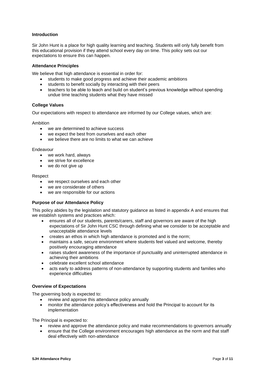# **Introduction**

Sir John Hunt is a place for high quality learning and teaching. Students will only fully benefit from this educational provision if they attend school every day on time. This policy sets out our expectations to ensure this can happen.

#### **Attendance Principles**

We believe that high attendance is essential in order for:

- students to make good progress and achieve their academic ambitions
- students to benefit socially by interacting with their peers
- teachers to be able to teach and build on student's previous knowledge without spending undue time teaching students what they have missed

### **College Values**

Our expectations with respect to attendance are informed by our College values, which are:

Ambition

- we are determined to achieve success
- we expect the best from ourselves and each other
- we believe there are no limits to what we can achieve

#### Endeavour

- we work hard, always
- we strive for excellence
- we do not give up

#### Respect

- we respect ourselves and each other
- we are considerate of others
- we are responsible for our actions

#### **Purpose of our Attendance Policy**

This policy abides by the legislation and statutory guidance as listed in appendix A and ensures that we establish systems and practices which:

- ensures all of our students, parents/carers, staff and governors are aware of the high expectations of Sir John Hunt CSC through defining what we consider to be acceptable and unacceptable attendance levels
- creates an ethos in which high attendance is promoted and is the norm;
- maintains a safe, secure environment where students feel valued and welcome, thereby positively encouraging attendance
- raises student awareness of the importance of punctuality and uninterrupted attendance in achieving their ambitions
- celebrate excellent school attendance
- acts early to address patterns of non-attendance by supporting students and families who experience difficulties

#### **Overview of Expectations**

The governing body is expected to:

- review and approve this attendance policy annually
- monitor the attendance policy's effectiveness and hold the Principal to account for its implementation

The Principal is expected to:

- review and approve the attendance policy and make recommendations to governors annually
- ensure that the College environment encourages high attendance as the norm and that staff deal effectively with non-attendance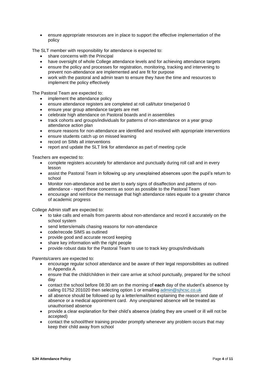• ensure appropriate resources are in place to support the effective implementation of the policy

The SLT member with responsibility for attendance is expected to:

- share concerns with the Principal
- have oversight of whole College attendance levels and for achieving attendance targets
- ensure the policy and processes for registration, monitoring, tracking and intervening to prevent non-attendance are implemented and are fit for purpose
- work with the pastoral and admin team to ensure they have the time and resources to implement the policy effectively

The Pastoral Team are expected to:

- implement the attendance policy
- ensure attendance registers are completed at roll call/tutor time/period 0
- ensure year group attendance targets are met
- celebrate high attendance on Pastoral boards and in assemblies
- track cohorts and groups/individuals for patterns of non-attendance on a year group attendance action plan
- ensure reasons for non-attendance are identified and resolved with appropriate interventions
- ensure students catch up on missed learning
- record on SIMs all interventions
- report and update the SLT link for attendance as part of meeting cycle

Teachers are expected to:

- complete registers accurately for attendance and punctually during roll call and in every lesson
- assist the Pastoral Team in following up any unexplained absences upon the pupil's return to school
- Monitor non-attendance and be alert to early signs of disaffection and patterns of nonattendance - report these concerns as soon as possible to the Pastoral Team
- encourage and reinforce the message that high attendance rates equate to a greater chance of academic progress

College Admin staff are expected to:

- to take calls and emails from parents about non-attendance and record it accurately on the school system
- send letters/emails chasing reasons for non-attendance
- code/recode SIMS as outlined
- provide good and accurate record keeping
- share key information with the right people
- provide robust data for the Pastoral Team to use to track key groups/individuals

Parents/carers are expected to:

- encourage regular school attendance and be aware of their legal responsibilities as outlined in Appendix A
- ensure that the child/children in their care arrive at school punctually, prepared for the school day
- contact the school before 08:30 am on the morning of **each** day of the student's absence by calling 01752 201020 then selecting option 1 or emailing [admin@sjhcsc.co.uk](mailto:admin@sjhcsc.co.uk)
- all absence should be followed up by a letter/email/text explaining the reason and date of absence or a medical appointment card. Any unexplained absence will be treated as unauthorised absence
- provide a clear explanation for their child's absence (stating they are unwell or ill will not be accepted)
- contact the school/their training provider promptly whenever any problem occurs that may keep their child away from school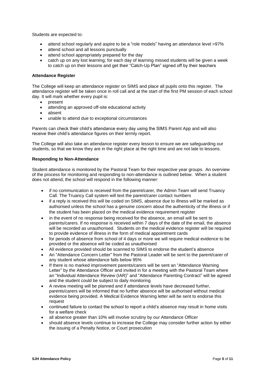Students are expected to:

- attend school regularly and aspire to be a "role models" having an attendance level >97%
- attend school and all lessons punctually
- attend school appropriately prepared for the day
- catch up on any lost learning; for each day of learning missed students will be given a week to catch up on their lessons and get their "Catch-Up Plan" signed off by their teachers

# **Attendance Register**

The College will keep an attendance register on SIMS and place all pupils onto this register. The attendance register will be taken once in roll call and at the start of the first PM session of each school day. It will mark whether every pupil is:

- present
- attending an approved off-site educational activity
- absent
- unable to attend due to exceptional circumstances

Parents can check their child's attendance every day using the SIMS Parent App and will also receive their child's attendance figures on their termly report.

The College will also take an attendance register every lesson to ensure we are safeguarding our students, so that we know they are in the right place at the right time and are not late to lessons.

#### **Responding to Non-Attendance**

Student attendance is monitored by the Pastoral Team for their respective year groups. An overview of the process for monitoring and responding to non-attendance is outlined below. When a student does not attend, the school will respond in the following manner:

- if no communication is received from the parent/carer, the Admin Team will send Truancy Call. The Truancy Call system will text the parent/carer contact numbers
- if a reply is received this will be coded on SIMS, absence due to illness will be marked as authorised unless the school has a genuine concern about the authenticity of the illness or if the student has been placed on the medical evidence requirement register
- in the event of no response being received for the absence, an email will be sent to parents/carers. If no response is received within 7 days of the date of the email, the absence will be recorded as unauthorised. Students on the medical evidence register will be required to provide evidence of illness in the form of medical appointment cards
- for periods of absence from school of 4 days or more we will require medical evidence to be provided or the absence will be coded as unauthorised
- All evidence provided should be scanned to SIMS to endorse the student's absence
- An "Attendance Concern Letter" from the Pastoral Leader will be sent to the parent/carer of any student whose attendance falls below 95%
- If there is no marked improvement parents/carers will be sent an "Attendance Warning Letter" by the Attendance Officer and invited in for a meeting with the Pastoral Team where an "Individual Attendance Review (IAR)" and "Attendance Parenting Contract" will be agreed and the student could be subject to daily monitoring
- A review meeting will be planned and if attendance levels have decreased further, parents/carers will be informed that no further absence will be authorised without medical evidence being provided. A Medical Evidence Warning letter will be sent to endorse this request
- continued failure to contact the school to report a child's absence may result in home visits for a welfare check
- all absence greater than 10% will involve scrutiny by our Attendance Officer
- should absence levels continue to increase the College may consider further action by either the issuing of a Penalty Notice, or Court prosecution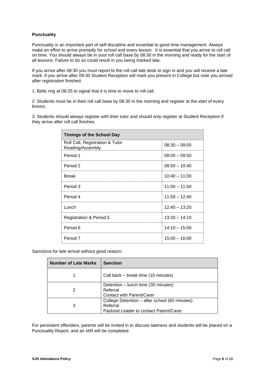# **Punctuality**

Punctuality is an important part of self-discipline and essential to good time management. Always make an effort to arrive promptly for school and every lesson. It is essential that you arrive to roll call on time. You should always be in your roll call base by 08:30 in the morning and ready for the start of all lessons. Failure to do so could result in you being marked late.

If you arrive after 08:30 you must report to the roll call late desk to sign in and you will receive a late mark. If you arrive after 09:30 Student Reception will mark you present in College but note you arrived after registration finished.

1. Bells ring at 08:25 to signal that it is time to move to roll call.

2. Students must be in their roll call base by 08:30 in the morning and register at the start of every lesson.

3. Students should always register with their tutor and should only register at Student Reception if they arrive after roll call finishes.

| <b>Timings of the School Day</b>                    |                 |
|-----------------------------------------------------|-----------------|
| Roll Call, Registration & Tutor<br>Reading/Assembly | $08:30 - 09:00$ |
| Period 1                                            | $09:00 - 09:50$ |
| Period 2                                            | $09:50 - 10:40$ |
| <b>Break</b>                                        | $10:40 - 11:00$ |
| Period 3                                            | $11:00 - 11:50$ |
| Period 4                                            | $11:50 - 12:40$ |
| Lunch                                               | $12:40 - 13:20$ |
| <b>Registration &amp; Period 5</b>                  | $13:20 - 14:10$ |
| Period 6                                            | $14:10 - 15:00$ |
| Period 7                                            | $15:00 - 16:00$ |

#### Sanctions for late arrival without good reason:

| <b>Number of Late Marks</b> | <b>Sanction</b>                                                                                      |
|-----------------------------|------------------------------------------------------------------------------------------------------|
|                             | Call back – break time (10 minutes)                                                                  |
|                             | Detention - lunch time (30 minutes)<br>Referral<br>Contact with Parent/Carer                         |
| 3                           | College Detention - after school (60 minutes)<br>Referral<br>Pastoral Leader to contact Parent/Carer |

For persistent offenders, parents will be invited in to discuss lateness and students will be placed on a Punctuality Report, and an IAR will be completed.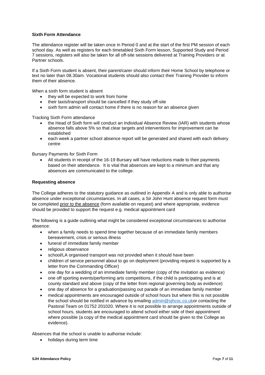# **Sixth Form Attendance**

The attendance register will be taken once in Period 0 and at the start of the first PM session of each school day. As well as registers for each timetabled Sixth Form lesson, Supported Study and Period 7 sessions, registers will also be taken for all off-site sessions delivered at Training Providers or at Partner schools.

If a Sixth Form student is absent, their parent/carer should inform their Home School by telephone or text no later than 08.30am. Vocational students should also contact their Training Provider to inform them of their absence.

When a sixth form student is absent

- they will be expected to work from home
- their taxis/transport should be cancelled if they study off-site
- sixth form admin will contact home if there is no reason for an absence given

Tracking Sixth Form attendance

- the Head of Sixth form will conduct an Individual Absence Review (IAR) with students whose absence falls above 5% so that clear targets and interventions for improvement can be established
- each week a partner school absence report will be generated and shared with each delivery centre

Bursary Payments for Sixth Form

• All students in receipt of the 16-19 Bursary will have reductions made to their payments based on their attendance. It is vital that absences are kept to a minimum and that any absences are communicated to the college.

#### **Requesting absence**

The College adheres to the statutory guidance as outlined in Appendix A and is only able to authorise absence under exceptional circumstances. In all cases, a Sir John Hunt absence request form must be completed prior to the absence (form available on request) and where appropriate, evidence should be provided to support the request e.g. medical appointment card

The following is a guide outlining what might be considered exceptional circumstances to authorise absence:

- when a family needs to spend time together because of an immediate family members bereavement, crisis or serious illness
- funeral of immediate family member
- religious observance
- school/LA organised transport was not provided when it should have been
- children of service personnel about to go on deployment (providing request is supported by a letter from the Commanding Officer)
- one day for a wedding of an immediate family member (copy of the invitation as evidence)
- one off sporting events/performing arts competitions, if the child is participating and is at county standard and above (copy of the letter from regional governing body as evidence)
- one day of absence for a graduation/passing out parade of an immediate family member
- medical appointments are encouraged outside of school hours but where this is not possible the school should be notified in advance by emailing [admin@sjhcsc.co.uko](mailto:admin@sjhcsc.co.uk)r contacting the Pastoral Team on 01752 201020. Where it is not possible to arrange appointments outside of school hours, students are encouraged to attend school either side of their appointment where possible (a copy of the medical appointment card should be given to the College as evidence).

Absences that the school is unable to authorise include:

• holidays during term time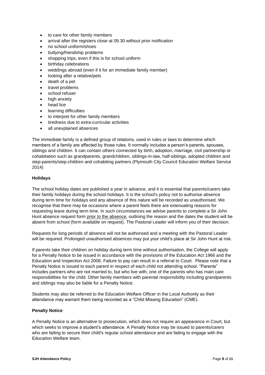- to care for other family members
- arrival after the registers close at 09.30 without prior notification
- no school uniform/shoes
- bullying/friendship problems
- shopping trips, even if this is for school uniform
- birthday celebrations
- weddings abroad (even if it for an immediate family member)
- looking after a relative/pets
- death of a pet
- travel problems
- school refuser
- high anxiety
- head lice
- learning difficulties
- to interpret for other family members
- tiredness due to extra-curricular activities
- all unexplained absences

The immediate family is a defined group of relations, used in rules or laws to determine which members of a family are affected by those rules. It normally includes a person's parents, spouses, siblings and children. It can contain others connected by birth, adoption, marriage, civil partnership or cohabitation such as grandparents, grandchildren, siblings-in-law, half-siblings, adopted children and step-parents/step-children and cohabiting partners (Plymouth City Council Education Welfare Service 2014)

# **Holidays**

The school holiday dates are published a year in advance, and it is essential that parents/carers take their family holidays during the school holidays. It is the school's policy not to authorise absence during term time for holidays and any absence of this nature will be recorded as unauthorised. We recognise that there may be occasions where a parent feels there are extenuating reasons for requesting leave during term time. In such circumstances we advise parents to complete a Sir John Hunt absence request form prior to the absence, outlining the reason and the dates the student will be absent from school (form available on request). The Pastoral Leader will inform you of their decision.

Requests for long periods of absence will not be authorised and a meeting with the Pastoral Leader will be required. Prolonged unauthorised absences may put your child's place at Sir John Hunt at risk.

If parents take their children on holiday during term time without authorisation, the College will apply for a Penalty Notice to be issued in accordance with the provisions of the Education Act 1966 and the Education and Inspection Act 2006. Failure to pay can result in a referral to Court. Please note that a Penalty Notice is issued to each parent in respect of each child not attending school. "Parents" includes partners who are not married to, but who live with, one of the parents who has main care responsibilities for the child. Other family members with parental responsibility including grandparents and siblings may also be liable for a Penalty Notice.

Students may also be referred to the Education Welfare Officer in the Local Authority as their attendance may warrant them being recorded as a "Child Missing Education" (CME).

#### **Penalty Notice**

A Penalty Notice is an alternative to prosecution, which does not require an appearance in Court, but which seeks to improve a student's attendance. A Penalty Notice may be issued to parents/carers who are failing to secure their child's regular school attendance and are failing to engage with the Education Welfare team.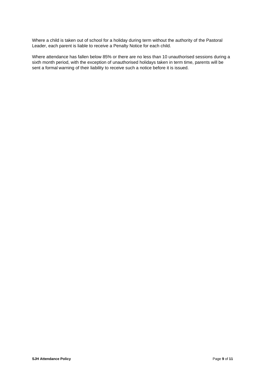Where a child is taken out of school for a holiday during term without the authority of the Pastoral Leader, each parent is liable to receive a Penalty Notice for each child.

Where attendance has fallen below 85% or there are no less than 10 unauthorised sessions during a sixth month period, with the exception of unauthorised holidays taken in term time, parents will be sent a formal warning of their liability to receive such a notice before it is issued.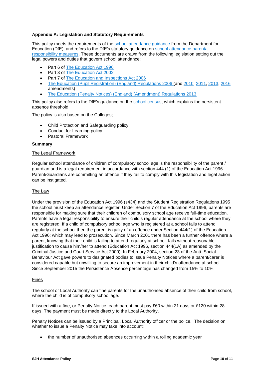# **Appendix A: Legislation and Statutory Requirements**

This policy meets the requirements of the [school attendance guidance](https://www.gov.uk/government/publications/school-attendance) from the Department for Education (DfE), and refers to the DfE's statutory guidance on [school attendance parental](https://www.gov.uk/government/publications/parental-responsibility-measures-for-behaviour-and-attendance)  [responsibility measures.](https://www.gov.uk/government/publications/parental-responsibility-measures-for-behaviour-and-attendance) These documents are drawn from the following legislation setting out the legal powers and duties that govern school attendance:

- Part 6 of [The Education Act 1996](https://www.legislation.gov.uk/ukpga/1996/56/part/VI/chapter/II)
- Part 3 of [The Education Act 2002](http://www.legislation.gov.uk/ukpga/2002/32/part/3/chapter/3)
- Part 7 of [The Education and Inspections Act 2006](http://www.legislation.gov.uk/ukpga/2006/40/part/7/chapter/2/crossheading/school-attendance)
- [The Education \(Pupil Registration\) \(England\) Regulations 2006](http://www.legislation.gov.uk/uksi/2006/1751/contents/made) (and [2010,](https://www.legislation.gov.uk/uksi/2010/1725/regulation/2/made) [2011,](https://www.legislation.gov.uk/uksi/2011/1625/made) [2013,](https://www.legislation.gov.uk/uksi/2013/756/made) [2016](https://www.legislation.gov.uk/uksi/2016/792/made/data.html) amendments)
- [The Education \(Penalty Notices\) \(England\) \(Amendment\) Regulations 2013](https://www.legislation.gov.uk/uksi/2013/757/regulation/2/made)

This policy also refers to the DfE's guidance on the [school census,](https://www.gov.uk/guidance/complete-the-school-census) which explains the persistent absence threshold.

The policy is also based on the Colleges;

- Child Protection and Safeguarding policy
- Conduct for Learning policy
- Pastoral Framework

#### **Summary**

#### The Legal Framework

Regular school attendance of children of compulsory school age is the responsibility of the parent / guardian and is a legal requirement in accordance with section 444 (1) of the Education Act 1996. Parent/Guardians are committing an offence if they fail to comply with this legislation and legal action can be instigated.

#### The Law

Under the provision of the Education Act 1996 (s434) and the Student Registration Regulations 1995 the school must keep an attendance register. Under Section 7 of the Education Act 1996, parents are responsible for making sure that their children of compulsory school age receive full-time education. Parents have a legal responsibility to ensure their child's regular attendance at the school where they are registered. If a child of compulsory school age who is registered at a school fails to attend regularly at the school then the parent is guilty of an offence under Section 444(1) of the Education Act 1996; which may lead to prosecution. Since March 2001 there has been a further offence where a parent, knowing that their child is failing to attend regularly at school, fails without reasonable justification to cause him/her to attend (Education Act 1996, section 444(1A) as amended by the Criminal Justice and Court Service Act 2000). In February 2004, section 23 of the Anti- Social Behaviour Act gave powers to designated bodies to issue Penalty Notices where a parent/carer is considered capable but unwilling to secure an improvement in their child's attendance at school. Since September 2015 the Persistence Absence percentage has changed from 15% to 10%.

#### Fines

The school or Local Authority can fine parents for the unauthorised absence of their child from school, where the child is of compulsory school age.

If issued with a fine, or Penalty Notice, each parent must pay £60 within 21 days or £120 within 28 days. The payment must be made directly to the Local Authority.

Penalty Notices can be issued by a Principal, Local Authority officer or the police. The decision on whether to issue a Penalty Notice may take into account:

• the number of unauthorised absences occurring within a rolling academic year